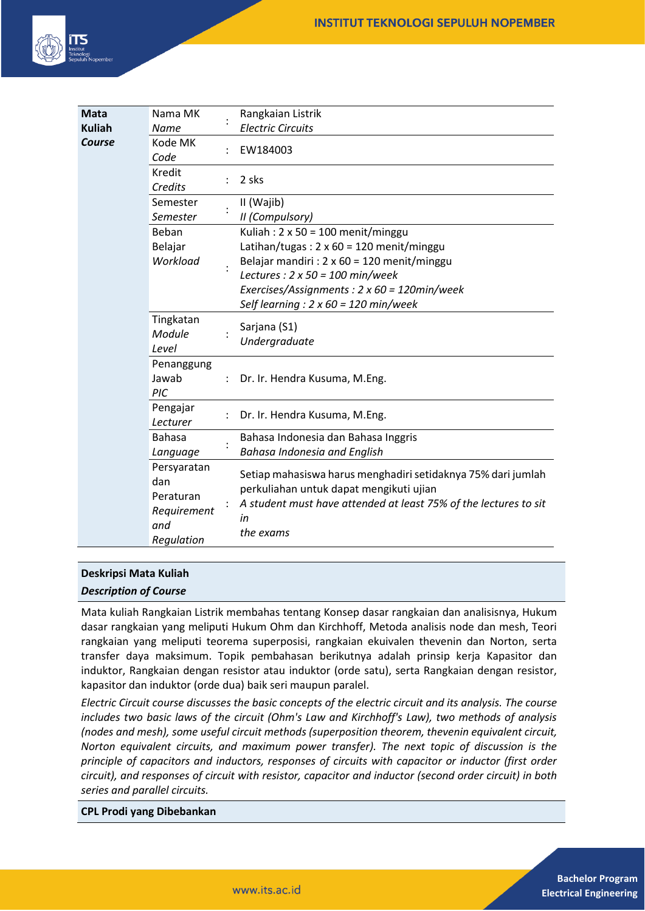

| <b>Mata</b><br><b>Kuliah</b> | Nama MK<br>Name                                                     | Rangkaian Listrik<br><b>Electric Circuits</b>                                                                                                                                                                                                                                        |
|------------------------------|---------------------------------------------------------------------|--------------------------------------------------------------------------------------------------------------------------------------------------------------------------------------------------------------------------------------------------------------------------------------|
| Course                       | Kode MK<br>Code                                                     | EW184003                                                                                                                                                                                                                                                                             |
|                              | Kredit<br>Credits                                                   | 2 sks                                                                                                                                                                                                                                                                                |
|                              | Semester<br>Semester                                                | II (Wajib)<br>II (Compulsory)                                                                                                                                                                                                                                                        |
|                              | Beban<br>Belajar<br>Workload                                        | Kuliah: 2 x 50 = 100 menit/minggu<br>Latihan/tugas: $2 \times 60 = 120$ menit/minggu<br>Belajar mandiri : $2 \times 60 = 120$ menit/minggu<br>Lectures : $2 \times 50 = 100$ min/week<br>Exercises/Assignments: 2 x 60 = 120min/week<br>Self learning : $2 \times 60 = 120$ min/week |
|                              | Tingkatan<br>Module<br>Level                                        | Sarjana (S1)<br>Undergraduate                                                                                                                                                                                                                                                        |
|                              | Penanggung<br>Jawab<br>PIC                                          | Dr. Ir. Hendra Kusuma, M.Eng.                                                                                                                                                                                                                                                        |
|                              | Pengajar<br>Lecturer                                                | Dr. Ir. Hendra Kusuma, M.Eng.                                                                                                                                                                                                                                                        |
|                              | <b>Bahasa</b><br>Language                                           | Bahasa Indonesia dan Bahasa Inggris<br><b>Bahasa Indonesia and English</b>                                                                                                                                                                                                           |
|                              | Persyaratan<br>dan<br>Peraturan<br>Requirement<br>and<br>Regulation | Setiap mahasiswa harus menghadiri setidaknya 75% dari jumlah<br>perkuliahan untuk dapat mengikuti ujian<br>A student must have attended at least 75% of the lectures to sit<br>in<br>the exams                                                                                       |

# **Deskripsi Mata Kuliah**

#### *Description of Course*

Mata kuliah Rangkaian Listrik membahas tentang Konsep dasar rangkaian dan analisisnya, Hukum dasar rangkaian yang meliputi Hukum Ohm dan Kirchhoff, Metoda analisis node dan mesh, Teori rangkaian yang meliputi teorema superposisi, rangkaian ekuivalen thevenin dan Norton, serta transfer daya maksimum. Topik pembahasan berikutnya adalah prinsip kerja Kapasitor dan induktor, Rangkaian dengan resistor atau induktor (orde satu), serta Rangkaian dengan resistor, kapasitor dan induktor (orde dua) baik seri maupun paralel.

*Electric Circuit course discusses the basic concepts of the electric circuit and its analysis. The course includes two basic laws of the circuit (Ohm's Law and Kirchhoff's Law), two methods of analysis (nodes and mesh), some useful circuit methods (superposition theorem, thevenin equivalent circuit, Norton equivalent circuits, and maximum power transfer). The next topic of discussion is the principle of capacitors and inductors, responses of circuits with capacitor or inductor (first order circuit), and responses of circuit with resistor, capacitor and inductor (second order circuit) in both series and parallel circuits.*

**CPL Prodi yang Dibebankan**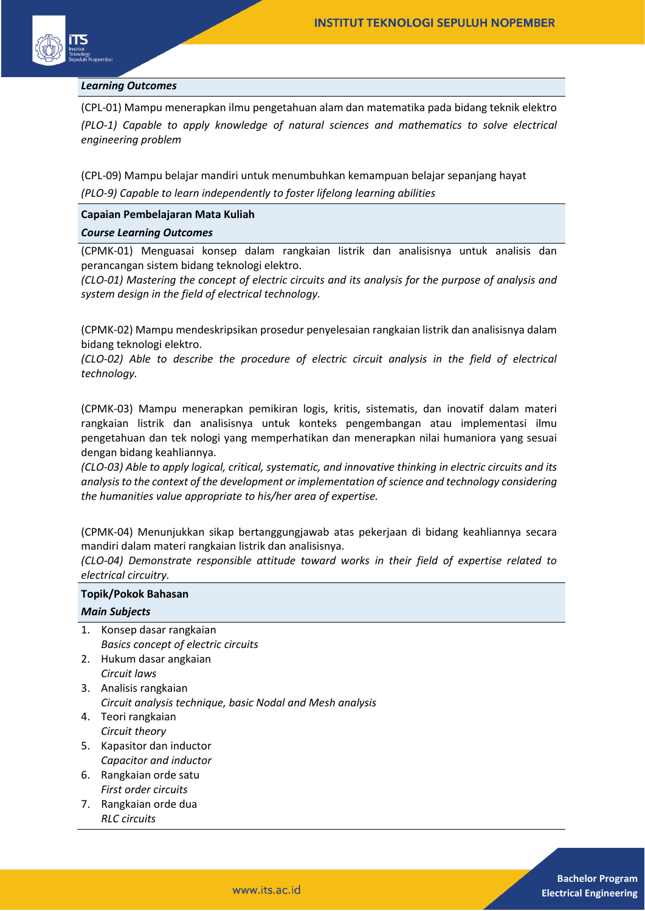

#### *Learning Outcomes*

(CPL-01) Mampu menerapkan ilmu pengetahuan alam dan matematika pada bidang teknik elektro *(PLO-1) Capable to apply knowledge of natural sciences and mathematics to solve electrical engineering problem* 

(CPL-09) Mampu belajar mandiri untuk menumbuhkan kemampuan belajar sepanjang hayat *(PLO-9) Capable to learn independently to foster lifelong learning abilities* 

### **Capaian Pembelajaran Mata Kuliah**

#### *Course Learning Outcomes*

(CPMK-01) Menguasai konsep dalam rangkaian listrik dan analisisnya untuk analisis dan perancangan sistem bidang teknologi elektro.

*(CLO-01) Mastering the concept of electric circuits and its analysis for the purpose of analysis and system design in the field of electrical technology.*

(CPMK-02) Mampu mendeskripsikan prosedur penyelesaian rangkaian listrik dan analisisnya dalam bidang teknologi elektro.

*(CLO-02) Able to describe the procedure of electric circuit analysis in the field of electrical technology.*

(CPMK-03) Mampu menerapkan pemikiran logis, kritis, sistematis, dan inovatif dalam materi rangkaian listrik dan analisisnya untuk konteks pengembangan atau implementasi ilmu pengetahuan dan tek nologi yang memperhatikan dan menerapkan nilai humaniora yang sesuai dengan bidang keahliannya.

*(CLO-03) Able to apply logical, critical, systematic, and innovative thinking in electric circuits and its analysis to the context of the development or implementation of science and technology considering the humanities value appropriate to his/her area of expertise.*

(CPMK-04) Menunjukkan sikap bertanggungjawab atas pekerjaan di bidang keahliannya secara mandiri dalam materi rangkaian listrik dan analisisnya.

*(CLO-04) Demonstrate responsible attitude toward works in their field of expertise related to electrical circuitry.*

| Topik/Pokok Bahasan  |                                                           |  |  |  |
|----------------------|-----------------------------------------------------------|--|--|--|
| <b>Main Subjects</b> |                                                           |  |  |  |
| 1.                   | Konsep dasar rangkaian                                    |  |  |  |
|                      | <b>Basics concept of electric circuits</b>                |  |  |  |
| 2.                   | Hukum dasar angkaian                                      |  |  |  |
|                      | Circuit laws                                              |  |  |  |
| 3.                   | Analisis rangkaian                                        |  |  |  |
|                      | Circuit analysis technique, basic Nodal and Mesh analysis |  |  |  |
| 4.                   | Teori rangkaian                                           |  |  |  |
|                      | Circuit theory                                            |  |  |  |
| 5.                   | Kapasitor dan inductor                                    |  |  |  |
|                      | Capacitor and inductor                                    |  |  |  |
| 6.                   | Rangkaian orde satu                                       |  |  |  |
|                      | First order circuits                                      |  |  |  |
| 7.                   | Rangkaian orde dua                                        |  |  |  |
|                      | <b>RLC</b> circuits                                       |  |  |  |
|                      |                                                           |  |  |  |
|                      |                                                           |  |  |  |